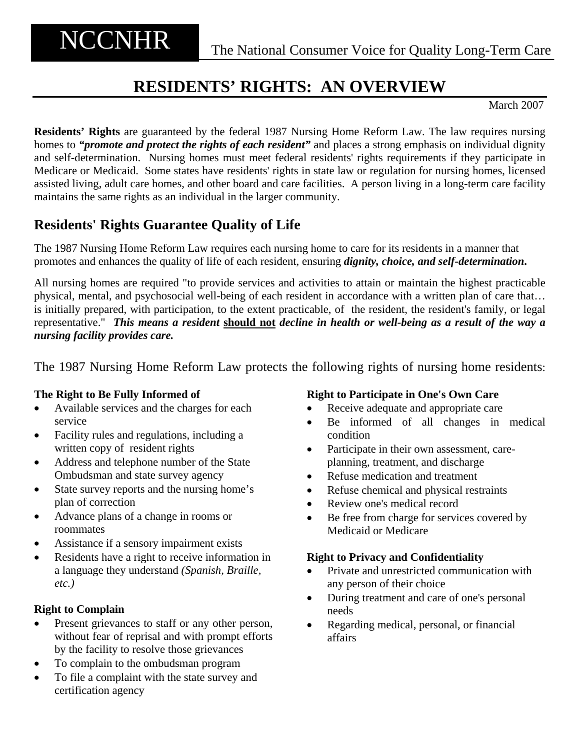# **RESIDENTS' RIGHTS: AN OVERVIEW**

March 2007

**Residents' Rights** are guaranteed by the federal 1987 Nursing Home Reform Law. The law requires nursing homes to *"promote and protect the rights of each resident"* and places a strong emphasis on individual dignity and self-determination. Nursing homes must meet federal residents' rights requirements if they participate in Medicare or Medicaid. Some states have residents' rights in state law or regulation for nursing homes, licensed assisted living, adult care homes, and other board and care facilities. A person living in a long-term care facility maintains the same rights as an individual in the larger community.

## **Residents' Rights Guarantee Quality of Life**

The 1987 Nursing Home Reform Law requires each nursing home to care for its residents in a manner that promotes and enhances the quality of life of each resident, ensuring *dignity, choice, and self-determination***.** 

All nursing homes are required "to provide services and activities to attain or maintain the highest practicable physical, mental, and psychosocial well-being of each resident in accordance with a written plan of care that… is initially prepared, with participation, to the extent practicable, of the resident, the resident's family, or legal representative." *This means a resident* **should not** *decline in health or well-being as a result of the way a nursing facility provides care.* 

The 1987 Nursing Home Reform Law protects the following rights of nursing home residents:

## **The Right to Be Fully Informed of**

- Available services and the charges for each service
- Facility rules and regulations, including a written copy of resident rights
- Address and telephone number of the State Ombudsman and state survey agency
- State survey reports and the nursing home's plan of correction
- Advance plans of a change in rooms or roommates
- Assistance if a sensory impairment exists
- Residents have a right to receive information in a language they understand *(Spanish, Braille, etc.)*

## **Right to Complain**

- Present grievances to staff or any other person, without fear of reprisal and with prompt efforts by the facility to resolve those grievances
- To complain to the ombudsman program
- To file a complaint with the state survey and certification agency

## **Right to Participate in One's Own Care**

- Receive adequate and appropriate care
- Be informed of all changes in medical condition
- Participate in their own assessment, careplanning, treatment, and discharge
- Refuse medication and treatment
- Refuse chemical and physical restraints
- Review one's medical record
- Be free from charge for services covered by Medicaid or Medicare

## **Right to Privacy and Confidentiality**

- Private and unrestricted communication with any person of their choice
- During treatment and care of one's personal needs
- Regarding medical, personal, or financial affairs